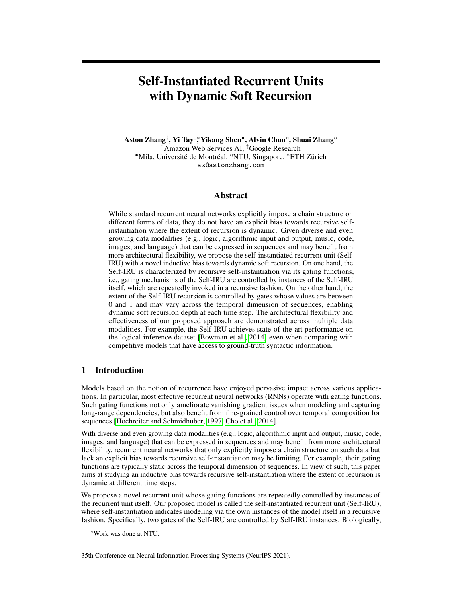# Self-Instantiated Recurrent Units with Dynamic Soft Recursion

Aston Zhang†, Yi Tay‡\*, Yikang Shen•, Alvin Chan⊲, Shuai Zhang° †Amazon Web Services AI, ‡Google Research \*Mila, Université de Montréal, <sup>«</sup>NTU, Singapore, <sup>»</sup>ETH Zürich az@astonzhang.com

## Abstract

While standard recurrent neural networks explicitly impose a chain structure on different forms of data, they do not have an explicit bias towards recursive selfinstantiation where the extent of recursion is dynamic. Given diverse and even growing data modalities (e.g., logic, algorithmic input and output, music, code, images, and language) that can be expressed in sequences and may benefit from more architectural flexibility, we propose the self-instantiated recurrent unit (Self-IRU) with a novel inductive bias towards dynamic soft recursion. On one hand, the Self-IRU is characterized by recursive self-instantiation via its gating functions, i.e., gating mechanisms of the Self-IRU are controlled by instances of the Self-IRU itself, which are repeatedly invoked in a recursive fashion. On the other hand, the extent of the Self-IRU recursion is controlled by gates whose values are between 0 and 1 and may vary across the temporal dimension of sequences, enabling dynamic soft recursion depth at each time step. The architectural flexibility and effectiveness of our proposed approach are demonstrated across multiple data modalities. For example, the Self-IRU achieves state-of-the-art performance on the logical inference dataset [\[Bowman et al., 2014\]](#page-9-0) even when comparing with competitive models that have access to ground-truth syntactic information.

# 1 Introduction

Models based on the notion of recurrence have enjoyed pervasive impact across various applications. In particular, most effective recurrent neural networks (RNNs) operate with gating functions. Such gating functions not only ameliorate vanishing gradient issues when modeling and capturing long-range dependencies, but also benefit from fine-grained control over temporal composition for sequences [\[Hochreiter and Schmidhuber, 1997,](#page-10-0) [Cho et al., 2014\]](#page-9-1).

With diverse and even growing data modalities (e.g., logic, algorithmic input and output, music, code, images, and language) that can be expressed in sequences and may benefit from more architectural flexibility, recurrent neural networks that only explicitly impose a chain structure on such data but lack an explicit bias towards recursive self-instantiation may be limiting. For example, their gating functions are typically static across the temporal dimension of sequences. In view of such, this paper aims at studying an inductive bias towards recursive self-instantiation where the extent of recursion is dynamic at different time steps.

We propose a novel recurrent unit whose gating functions are repeatedly controlled by instances of the recurrent unit itself. Our proposed model is called the self-instantiated recurrent unit (Self-IRU), where self-instantiation indicates modeling via the own instances of the model itself in a recursive fashion. Specifically, two gates of the Self-IRU are controlled by Self-IRU instances. Biologically,

<sup>∗</sup>Work was done at NTU.

<sup>35</sup>th Conference on Neural Information Processing Systems (NeurIPS 2021).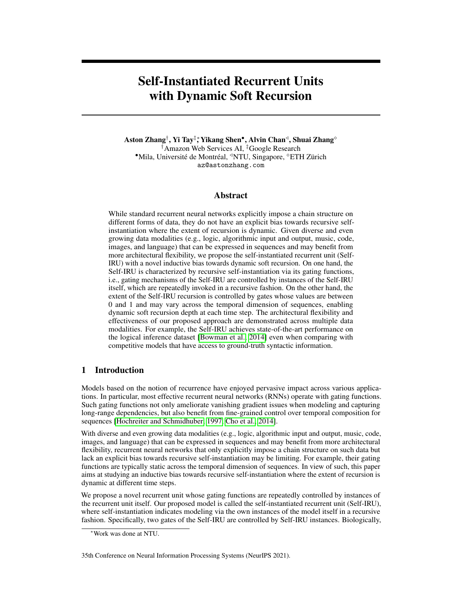this design is motivated by the prefrontal cortex/basal ganglia working memory indirection [\[Kriete](#page-10-1) [et al., 2013\]](#page-10-1). For example, a child Self-IRU instance drives the gating for outputting from its parent Self-IRU instance.

Our proposed Self-IRU is also characterized by the dynamically controlled recursion depths. Specifically, we design a dynamic soft recursion mechanism, which softly learns the depth of recursive self-instantiation on a per-time-step basis. More concretely, certain gates are reserved to control the extent of the Self-IRU recursion. Since values of these gates are between 0 and 1 and may vary across the temporal dimension, they make dynamic soft recursion depth at each time step possible, which could lead to more architectural flexibility across diverse data modalities.

This design of the Self-IRU is mainly inspired by the adaptive computation time (ACT) [\[Graves,](#page-9-2) [2016\]](#page-9-2) that learns the number of computational steps between an input and an output and recursive neural networks that operate on directed acyclic graphs. On one hand, the Self-IRU is reminiscent of the ACT, albeit operated at the parameter level. While seemingly similar, the Self-IRU and ACT are very different in the context of what the objective is. Specifically, the goal of the Self-IRU is to dynamically expand the parameters of the model, not dynamically decide how long to deliberate on input tokens in a sequence. On the other hand, the Self-IRU marries the benefit of recursive reasoning with recurrent models. However, in contrast to recursive neural networks, the Self-IRU is neither concerned with syntax-guided composition [\[Tai et al., 2015,](#page-11-0) [Socher et al., 2013,](#page-11-1) [Dyer et al., 2016,](#page-9-3) [Wang and Pan, 2020\]](#page-11-2) nor unsupervised grammar induction [\[Shen et al., 2017,](#page-11-3) [Choi et al., 2018,](#page-9-4) [Yogatama et al., 2016,](#page-11-4) [Havrylov et al., 2019\]](#page-10-2).

Our Contributions All in all, sequences are fundamentally native to the world, so the design of effective inductive biases for data in this form has far-reaching benefits across a diverse range of real-world applications. Our main contributions are outlined below:

- We propose the self-instantiated recurrent unit (Self-IRU). It is distinctly characterized by a novel inductive bias towards modeling via the own instances of the unit itself in a recursive fashion, where the extent of recursion is dynamically learned across the temporal dimension of sequences.
- We evaluate the Self-IRU on a wide spectrum of sequence modeling tasks across multiple modalities: logical inference, sorting, tree traversal, music modeling, semantic parsing, code generation, and pixel-wise sequential image classification. Overall, the empirical results demonstrate architectural flexibility and effectiveness of the Self-IRU. For example, the Self-IRU achieves state-of-the-art performance on the logical inference dataset [\[Bowman](#page-9-0) [et al., 2014\]](#page-9-0) even when comparing with competitive models that have access to ground-truth syntactic information.

**Notation** For readability, all vectors and matrices are denoted by lowercase and uppercase bold letters such as  $x$  and  $X$ , respectively. When a scalar is added to a vector, the addition is applied element-wise [\[Zhang et al., 2021\]](#page-11-5).

# 2 Method

This section introduces the proposed Self-IRU. The Self-IRU is fundamentally a recurrent model, but distinguishes itself in that the gating functions that control compositions over time are recursively modeled by instances of the Self-IRU itself, where the extent of recursion is dynamic. In the following, we begin with the model architecture that can recursively self-instantiate. Then we detail its key components such as how dynamic soft recursion is enabled.

## <span id="page-1-0"></span>2.1 Self-Instantiation

Given an input sequence of tokens  $x_1$ ; :::;  $x_T$ , the Self-IRU transforms them into hidden states throughout all the time steps:  $h_1$ ; :::;  $h_T$ . Denoting by L the user-specified maximum recursion depth, the hidden state at time step  *is* 

$$
\mathbf{h}_t = \text{Self-IRU}^{(L)}(\mathbf{x}_t; \mathbf{h}_{t-1}^{(L)})
$$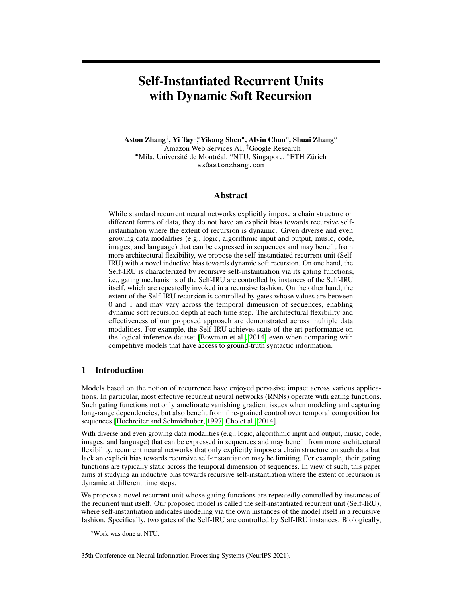<span id="page-2-0"></span>

Figure 1: The self-instantiated recurrent unit (Self-IRU) model architecture. Circles represent gates that control information flow from dotted lines, and squares represent transformations or operators.

where Self-IRU<sup>(L)</sup> is an instance of the Self-IRU model at recursion depth L and  $h_{t-1}^{(L)}$  is a hidden state at time step  $t \in \mathbb{1}$  and recursion depth L. In general, a Self-IRU instance at any recursion depth 0 *l L* returns a hidden state for that depth:

<span id="page-2-5"></span><span id="page-2-4"></span><span id="page-2-3"></span><span id="page-2-2"></span><span id="page-2-1"></span>Self-IRU<sup>(l)</sup>
$$
(\mathbf{x}_t; \mathbf{h}_{t-1}^{(l)}) = \mathbf{h}_t^{(l)}
$$

which involves the following computation:

$$
\mathbf{f}_t^{(l)} = \qquad _t^{(n)} \text{Self-IRU}^{(l-1)}(\mathbf{x}_t; \mathbf{h}_{t-1}^{(l-1)}) + (1 \qquad _t^{(n)})F_f^{(l)}(\mathbf{x}_t; \mathbf{h}_{t-1}^{(l)}) \tag{2.1}
$$

$$
\mathbf{o}_t^{(l)} = \qquad _t^{(n)} \text{Self-IRU}^{(l-1)}(\mathbf{x}_t; \mathbf{h}_{t-1}^{(l-1)}) + (1 \qquad _t^{(n)}) \mathbf{F}_o^{(l)}(\mathbf{x}_t; \mathbf{h}_{t-1}^{(l)}) \tag{2.2}
$$

$$
\mathbf{z}_t^{(l)} = \tanh \ \mathbf{F}_z^{(l)}(\mathbf{x}_t; \mathbf{h}_{t-1}^{(l)})
$$
 (2.3)

$$
\mathbf{c}_t^{(l)} = \mathbf{f}_t^{(l)} \quad \mathbf{c}_{t-1}^{(l)} + (1 \quad \mathbf{f}_t^{(l)}) \quad \mathbf{Z}_t^{(l)} \tag{2.4}
$$

$$
\mathbf{h}_t^{(l)} = \mathbf{o}_t^{(l)} \quad \mathbf{c}_t^{(l)} + \mathbf{x}_t \tag{2.5}
$$

where denotes the element-wise multiplication, denotes the sigmoid function, scalars  $\binom{n}{t}$  and  $\binom{n}{t}$  are soft depth gates at time step t and recursion node n in the unrolled recursion paths, and  $\binom{r}{t}$ .  $\stackrel{\scriptscriptstyle(i)}{f},$  $F_o^{(l)}$ , and  $F_z^{(l)}$  are base transformations at recursion depth *l*. Without losing sight of the big picture, we will provide more details of such soft depth gates and base transformations later.

On a high level, Figure [1](#page-2-0) depicts the Self-IRU model architecture. We highlight that two gating functions of a Self-IRU, the forget gate  $f_t^{(l)}$  in [\(2.1\)](#page-2-1) and the output gate  $o_t^{(l)}$  in [\(2.2\)](#page-2-2), are recursively controlled by instances of the Self-IRU itself. Therefore, we call both the forget and output gates the *self-instantiation gates*. The base case  $(l = 0)$  for self-instantiation gates is

$$
\mathbf{f}_t^{(0)} = \qquad \mathbf{F}_f^{(0)}(\mathbf{x}_t; \mathbf{h}_{t-1}^{(0)}) \quad \text{and} \quad \mathbf{o}_t^{(0)} = \qquad \mathbf{F}_o^{(0)}(\mathbf{x}_t; \mathbf{h}_{t-1}^{(0)}) \quad :
$$

At each recursion depth *l*, the candidate memory cell  $z_t^{(l)}$  at time step *t* is computed in [\(2.3\)](#page-2-3). Then in [\(2.4\)](#page-2-4), the forget gate  $f_t^{(l)}$  controls the information flow from  $z_t^{(l)}$  and the memory cell  $c_{t-1}^{(l)}$  at the previous time step to produce the memory cell  $c_t^{(l)}$  at the current time step t. As illustrated by the bottom arrow starting from  $x_t$  in Figure [1,](#page-2-0) the output gating in [\(2.5\)](#page-2-5) also adds a skip connection from residual networks to facilitate gradient flow throughout the recursive self-instantiation of the Self-IRU [\[He et al., 2016\]](#page-10-3).

## <span id="page-2-6"></span>2.2 Dynamic Soft Recursion

Now let us detail the soft depth gates  $\binom{n}{t}$  and  $\binom{n}{t}$  in [\(2.1\)](#page-2-1) and [\(2.2\)](#page-2-2) for time step t and recursion node  $n$  in the unrolled recursion paths. The index  $n$  is used to distinguish nodes at different positions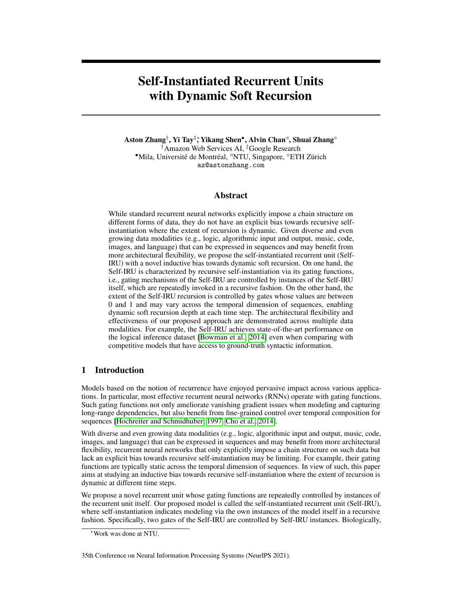<span id="page-3-0"></span>

Figure 2: Soft depth gates  $\binom{n}{t}$  and  $\binom{n}{t}$  for time step t and recursion node n (denoting F and R as the left child and the right child, respectively) control the extent of the Self-IRU recursion. The extent is indicated by greyscale of any node at the beginning of an arrow along an unrolled recursion path. These gates are between 0 and 1 and may vary across the temporal dimension, enabling dynamic soft recursion depth at each time step (here maximum depth  $L = 2$ ).

in the recursion tree (e.g., in Figure [2\)](#page-3-0) that is determined by the maximum recursion depth  $\mathcal{L}$ . We propose learning them in a data-driven fashion. Specifically, we parameterize  $\binom{n}{t}$  and  $\binom{n}{t}$  with

$$
\begin{array}{lll} (n) & = & \big(F_{\alpha}^{(n)}(\mathbf{X}_t)\big) \text{ and } \quad \begin{array}{l} (n) & = & \big(F_{\beta}^{(n)}(\mathbf{X}_t)\big) \end{array} \end{array}
$$

where  $F_*^{(n)}(\mathbf{x}_t) = \mathbf{W}_*^{(n)} \mathbf{x}_t + b_*^{(n)}$  2 R ( 2 f ; g) with weight parameters  $\mathbf{W}_*^{(n)}$  and bias parameters  $b_{*}^{(n)}$  both learned from data.

Together with the sigmoid function, these simple linear transformations of the input token  $x_t$  are applied dynamically at each time step  $t$  across the input sequence. Moreover, as shown in [\(2.1\)](#page-2-1) and [\(2.2\)](#page-2-2), mathematically  $0 < \int_{t}^{(n)} t^{(n)}$  < 1 control the extent of recursion at each recursion node *n*, enabling soft depth along any unrolled recursive self-instantiation path. Thus,  $\binom{n}{t}$  and  $\binom{n}{t}$  are called the *soft depth gates*.

Putting these together, Figure [2](#page-3-0) unrolls the recursive self-instantiation paths at two consecutive time steps to illustrate dynamic soft recursion depth. Specifically, the "softness" is indicated by greyscale of any node at the beginning of an arrow along an unrolled recursion path. In sharp contrast to multi-layer RNNs, Self-IRUs enable tree structures of self-instantiation, where the extent of recursion is dynamic (to be visualized in Section [3.7\)](#page-7-0).

#### <span id="page-3-1"></span>2.3 Base Transformations

At any recursion depth *l*,  $F_f^{(l)}$  $f_f^{(l)}$  in [\(2.1\)](#page-2-1),  $F_o^{(l)}$  in [\(2.2\)](#page-2-2), and  $F_z^{(l)}$  in [\(2.3\)](#page-2-3) are base transformations of the input  $\mathbf{x}_t$  and the hidden state  $\mathbf{h}_{t-1}^{(l)}$ . For example, we can model base transformations using RNN units (e.g., LSTM): at recursion depth *l*, for  $2 f f$ ; *o*; *zq* we have

$$
F_*^{(l)}(\mathbf{x}_t; \mathbf{h}_{t-1}^{(l)}) = RNN_*^{(l)}(\mathbf{x}_t; \mathbf{h}_{t-1}^{(l)})
$$

Alternatively, we may also model base transformations with linear layers that only transform the input  $\mathbf{x}_t$  using learnable weight parameters  $\mathbf{W}_*^{(l)}$  and bias parameters  $\mathbf{b}_*^{(l)}$  for  $2 f f$ ; o; zg:

$$
F_*^{(l)}(\mathbf{x}_t) = \mathbf{W}^{(l)}_* \mathbf{x}_t + \mathbf{b}^{(l)}_*
$$

The Self-IRU is agnostic to the choice of base transformations and we will evaluate different choices in the experiments. We will discuss how the Self-IRU can be useful as a (parallel) non-autoregressive model and connects to other recurrent models in the supplementary material.

## 3 Experiments

To demonstrate the architectural flexibility and effectiveness, we evaluate Self-IRUs on a wide range of publicly available benchmarks, perform ablation studies on the maximum recursion depth and base transformations, and analyze dynamics of soft depth gates.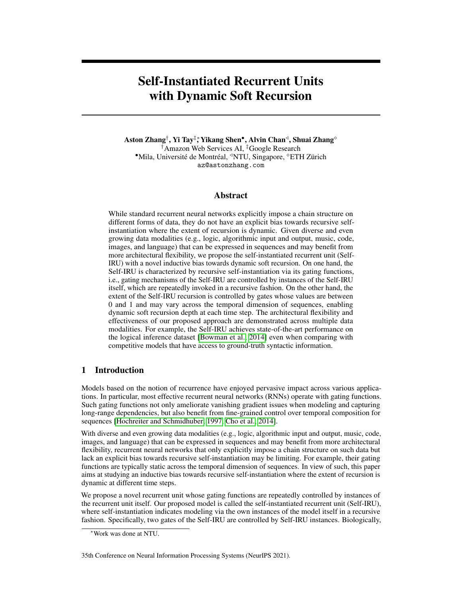#### 3.1 Pixel-wise Sequential Image Classification

The sequential pixel-wise image classification problem treats pixels in images as sequences. We use the well-established pixel-wise MNIST and CIFAR-10 datasets.

| Model                                             | #Params |       | MNIST CIFAR-10 |
|---------------------------------------------------|---------|-------|----------------|
| Independently R-RNN [Li et al., 2018a]            |         | 99.00 |                |
| r-LSTM with Aux Loss [Trinh et al., 2018]         |         | 98.52 | 72.20          |
| Transformer (self-attention) [Trinh et al., 2018] |         | 98.90 | 62.20          |
| TrellisNet [Bai et al., 2018b] (reported)         | 8.0M    | 99.20 | 73.42          |
| TrellisNet [Bai et al., 2018b] (our run)          | 8.0M    | 97.59 | 55.83          |
| Self-IRU                                          | 0.9M    | 99.04 | 73.01          |

<span id="page-4-0"></span>Table 1: Experimental results (accuracy) on the pixel-wise sequential image classification task.

Table [1](#page-4-0) reports the results of Self-IRUs against independently recurrent RNNs [\[Li et al., 2018a\]](#page-10-4), r-LSTMs with aux loss [\[Trinh et al., 2018\]](#page-11-6), Transformers (self-attention) [\[Trinh et al., 2018\]](#page-11-6), and TrellisNets [\[Bai et al., 2018b\]](#page-9-5). On both the MNIST and CIFAR-10 datasets, the Self-IRU outperforms most of the other investigated baseline models. For the only exception, parameters of the Self-IRU are only about 1=8 of those of the TrellisNet [\[Bai et al., 2018b\]](#page-9-5) while still achieving comparable performance. This supports that the Self-IRU is a reasonably competitive sequence encoder.

## 3.2 Logical Inference

We experiment for the logical inference task on the standard dataset<sup>[2](#page-4-1)</sup> proposed by [Bowman et al.](#page-9-0) [\[2014\]](#page-9-0). This classification task is to determine the semantic equivalence of two statements expressed with logic operators such as *not*, *and*, and *or*. As per prior work [\[Shen et al., 2018\]](#page-11-7), the model is trained on sequences with 6 or fewer operations and evaluated on sequences of 6 to 12 operations.

<span id="page-4-2"></span>Table 2: Experimental results (accuracy) on the logical inference task (symbol y denotes models with access to ground-truth syntax). The baseline results are reported from [\[Shen et al., 2018\]](#page-11-7). The Self-IRU achieves state-of-the-art performance.

|                                                              | #Operations  |       |      |            |        |        |
|--------------------------------------------------------------|--------------|-------|------|------------|--------|--------|
| Model                                                        | $=$ $\prime$ | $= 8$ |      | $= 9 = 10$ | $= 11$ | $= 12$ |
| Tree-LSTM <sup><math>\dagger</math></sup> [Tai et al., 2015] | 93.0         | 90.0  | 87.0 | 89.0       | 86.0   | 87.0   |
| LSTM [Bowman et al., 2014]                                   | 88.0         | 85.0  | 80.0 | 78.0       | 71.0   | 69.0   |
| RRNet [Jacob et al., 2018]                                   | 84.0         | 81.0  | 78.0 | 74.0       | 72.0   | 71.0   |
| ON-LSTM [Shen et al., 2018]                                  | 91.0         | 87.0  | 86.0 | 81.0       | 78.0   | 76.0   |
| Self-IRU                                                     | 97.0         | 95.0  | 93.0 | 92.0       | 90.0   | 88.0   |

We compare Self-IRUs with Tree-LSTMs [\[Tai et al., 2015\]](#page-11-0), LSTMs [\[Bowman et al., 2014\]](#page-9-0), RR-Nets [\[Jacob et al., 2018\]](#page-10-5), and ordered-neuron (ON-) LSTMs [\[Shen et al., 2018\]](#page-11-7) based on the common experimental setting in these works. Table [2](#page-4-2) reports our results on the logical inference task. The Self-IRU is a strong and competitive model on this task, outperforming ON-LSTM by a wide margin (+12% on the longest number of operations). Notably, the Self-IRU achieves state-of-the-art performance on this dataset even when comparing with Tree-LSTMs that have access to ground-truth syntactic information.

## 3.3 Sorting and Tree Traversal

We also evaluate Self-IRUs on two algorithmic tasks that are solvable by recursion: sorting and tree traversal. In sorting, the input to the model is a sequence of integers. The correct output is the sorted sequence of integers. Since mapping sorted inputs to outputs can be implemented in a recursive fashion, we evaluate the Self-IRU's ability to model recursively structured sequence data. An example input-output pair would be  $9; 1; 10; 5; 3$  !  $1; 3; 5; 9; 10$ . We evaluate on sequence length  $m = f5; 10g$ .

<span id="page-4-1"></span><sup>2</sup> <https://github.com/sleepinyourhat/vector-entailment>.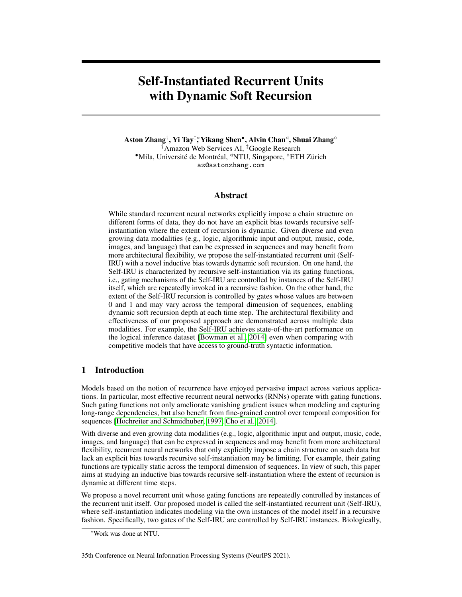In the tree traversal problem, we construct a binary tree of maximum depth  $n$ . The goal is to generate the postorder tree traversal given the inorder and preorder traversal of the tree. This is known to arrive at only one unique solution. The constructed trees have random sparsity where trees can grow up to maximum depth n. Hence, these trees can have varying depths (models can solve the task entirely when trees are fixed and full). We concatenate the postorder and inorder sequences, delimited by a special token. We evaluate on maximum depth  $n \geq 73/4/5/8/10q$ . For  $n \geq 75/8q$ , we ensure that each tree traversal has at least 10 tokens. For  $n = 10$ , we ensure that each path has at least 15 tokens. An example input-output pair would be  $13; 15; 4; 7; 5; X; 13; 4; 15; 5; 7!$  17; 15; 13; 4; 5.

We frame sorting and tree traversal as sequence-to-sequence [\[Sutskever et al., 2014\]](#page-11-8) tasks and evaluate models with measures of exact match (EM) accuracy and perplexity (PPL). We use a standard encoder-decoder architecture with attention [\[Bahdanau et al., 2014\]](#page-9-6), and vary the encoder module with BiLSTMs, stacked BiLSTMs, and ordered-neuron (ON-) LSTMs [\[Shen et al., 2018\]](#page-11-7).

<span id="page-5-0"></span>

|                       |           |                |      |            |     |         |                       | -          |      |         |     |            |    |            |
|-----------------------|-----------|----------------|------|------------|-----|---------|-----------------------|------------|------|---------|-----|------------|----|------------|
|                       |           | <b>SORTING</b> |      |            |     |         | <b>TREE TRAVERSAL</b> |            |      |         |     |            |    |            |
|                       | $m = 5$   |                |      | $m = 10$   |     | $n = 3$ |                       | $n = 4$    |      | $n = 5$ |     | $n = 8$    |    | $n = 10$   |
| Model                 | <b>EM</b> | <b>PPL</b>     | EM   | <b>PPL</b> | EM  | PPL     | EM                    | <b>PPL</b> | EM   | PPL     | EM  | <b>PPL</b> | EM | <b>PPL</b> |
| <b>BiLSTM</b>         | 79.9      | 1.2            | 78.9 | 1.2        | 100 | 1.0     | 96.9                  | 2.4        | 60.3 | 2.4     | 5.6 | 30.6       |    | 132.0      |
| <b>Stacked BiLSTM</b> | 83.4      | 1.2            | 88.0 | 1.1        | 100 | 1.0     | 98.0                  | 1.0        | 63.4 | 2.5     | 5.9 | 99.9       |    | 225.1      |
| <b>ON-LSTM</b>        | 90.8      | 1.1            | 87.4 | 1.1        | 100 | 1.0     | 81.0                  | 1.4        | 55.7 | 2.8     | 5.5 | 52.3       |    | 173.2      |
| Self-IRU              | 92.2      | 1.1            | 90.6 | 1.1        | 100 | 1.0     | 98.4                  | 1.0        | 63.4 | 1.8     | 5.6 | 20.4       |    | 119.0      |

Table 3: Experimental results on the sorting and tree traversal tasks.

Table [3](#page-5-0) reports our results on the sorting and tree traversal tasks. In fact, all the models solve the tree traversal task with  $n = 3$ . However, the task gets increasingly harder with a greater maximum possible depth and largely still remains a challenge for neural models today. On one hand, stacked BiLSTMs always perform better than BiLSTMs and ON-LSTMs occasionally perform worse than standard BiLSTMs on tree traversal, while for the sorting task ON-LSTMs perform much better than standard BiLSTMs. On the other hand, the relative performance of the Self-IRU is generally better than any of these baselines, especially pertaining to perplexity.

## 3.4 Music Modeling

Moreover, we evaluate the Self-IRU on the polyphonic music modeling task, i.e., generative modeling of musical sequences. We use three well-established datasets: Nottingham, JSB Chorales, and Piano Midi [\[Boulanger-Lewandowski et al., 2012\]](#page-9-7). The inputs are 88-bit (88 piano keys) sequences.

| Model                              | Nottingham | <b>JSB</b> | Piano Midi |
|------------------------------------|------------|------------|------------|
| GRU [Chung et al., 2014]           | 3.13       | 8.54       | 8.82       |
| LSTM [Song et al., 2019]           | 3.25       | 8.61       | 7.99       |
| G2-LSTM [Li et al., 2018b]         | 3.21       | 8.67       | 8.18       |
| B-LSTM [Song et al., 2019]         | 3.16       | 8.30       | 7.55       |
| TCN [Bai et al., 2018a] (reported) | 3.07       | 8.10       |            |
| TCN [Bai et al., 2018a] (our run)  | 2.95       | 8.13       | 7.53       |
| Self-IRU                           | 2.88       | 8.12       | 7.49       |

<span id="page-5-1"></span>Table 4: Experimental results (negative log-likelihood) on the music modeling task.

Table [4](#page-5-1) compares the Self-IRU with a wide range of published works: GRU [\[Chung et al., 2014\]](#page-9-8), LSTM [\[Song et al., 2019\]](#page-11-9), G2-LSTM [\[Li et al., 2018b\]](#page-10-6), B-LSTM [\[Song et al., 2019\]](#page-11-9), and TCN [\[Bai](#page-9-9) [et al., 2018a\]](#page-9-9). The Self-IRU achieves the best performance on the Nottingham and Piano midi datasets. It also achieves competitive performance on the JSB Chorales dataset, only underperforming the state-of-the-art by 0:02 negative log-likelihood.

## 3.5 Semantic Parsing and Code Generation

We further evaluate Self-IRUs on the semantic parsing (the Geo, Atis, and Jobs datasets) and code generation (the Django dataset) tasks. They are mainly concerned with learning to parse and generate structured data. We run our experiments on the publicly released source code<sup>[3](#page-5-2)</sup> of [\[Yin and Neubig,](#page-11-10)

<span id="page-5-2"></span><sup>3</sup> <https://github.com/pcyin/tranX>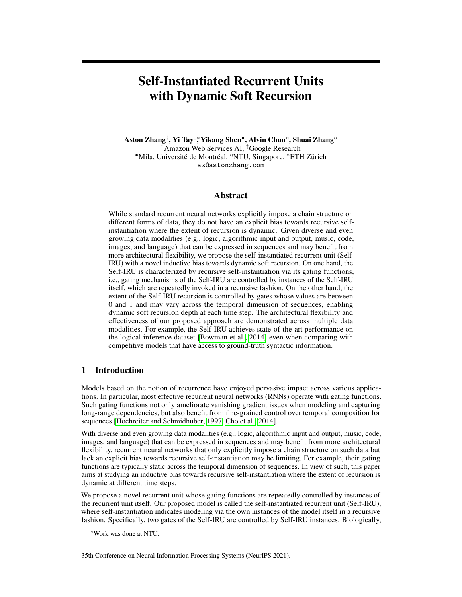[2018\]](#page-11-10), replacing the recurrent decoder with our Self-IRU decoder (TranX + Self-IRU). We only replace the recurrent decoder since our early experiments showed that varying the encoder did not yield any benefits in performance. Overall, our hyperparameter details strictly follow the codebase of [\[Yin and Neubig, 2018\]](#page-11-10), i.e., we run every model from their codebase as it is.

| Model                                           | Geo  | Atis | Jobs | Django |
|-------------------------------------------------|------|------|------|--------|
| Seq2Tree [Dong and Lapata, 2016]                | 87.1 | 84.6 |      | 31.5   |
| LPN [Ling et al., $2016$ ]                      |      |      |      | 62.3   |
| NMT [Neubig, 2015]                              |      |      |      | 45.1   |
| YN17 [Yin and Neubig, 2017]                     |      |      |      | 71.6   |
| ASN [Rabinovich et al., 2017]                   | 85.7 | 85.3 |      |        |
| ASN + Supv. Attn. [Rabinovich et al., 2017]     | 87.1 | 85.9 |      |        |
| TranX [Yin and Neubig, 2018] (reported in code) | 88.6 | 87.7 | 90.0 | 77.2   |
| TranX [Yin and Neubig, 2018] (our run)          | 87.5 | 87.5 | 90.0 | 76.7   |
| $TranX + Self-IRU$                              | 88.6 | 88.4 | 90.7 | 78.3   |

<span id="page-6-0"></span>Table 5: Experimental results (accuracy) on the semantic parsing (the Geo, Atis, and Jobs datasets) and code generation tasks (the Django dataset).

Table [5](#page-6-0) reports the experimental results in comparison with the other competitive baselines such as Seq2Tree [\[Dong and Lapata, 2016\]](#page-9-10), LPN [\[Ling et al., 2016\]](#page-10-7), NMT [\[Neubig, 2015\]](#page-10-8), YN17 [\[Yin](#page-11-11) [and Neubig, 2017\]](#page-11-11), ASN (with and without supervised attention) [\[Rabinovich et al., 2017\]](#page-10-9), and TranX [\[Yin and Neubig, 2018\]](#page-11-10). We observe that  $TranX + Self-IRU$  outperforms all the other approaches, achieving state-of-the-art performance. On the code generation task, Tran $X + Self-IRU$  outperforms Tran $X$  by  $+1.6\%$  and  $+1\%$  on all the semantic parsing tasks. More importantly,  $+1\%$  on all the semantic parsing tasks. More importantly, the performance gain over the base TranX method allows us to observe the ablative benefit of the Self-IRU that is achieved by only varying the recurrent decoder.

## 3.6 Ablation Studies of the Maximum Recursion Depth and Base Transformations

Table [6](#page-6-1) presents ablation studies of the maximum recursion depth (Section [2.1\)](#page-1-0) and base transformations (Section [2.3\)](#page-3-1) of Self-IRUs. The results are based on the semantic parsing (Atis) and code generation (Django) tasks. We can see that their optimal choice is task dependent: (i) on the semantic parsing task, using the linear layer performs better than the LSTM for base transfor-

<span id="page-6-1"></span>Table 6: Ablation studies of the maximum recursion depth and base transformation on the semantic parsing (SP) and code generation (CG) tasks.

| Max Depth | <b>Base Transformations</b> | SP.         | ( T i |
|-----------|-----------------------------|-------------|-------|
|           | Linear                      | 88.40       | 77.56 |
|           | Linear                      | 88.21 77.62 |       |
| 3         | Linear                      | 87.80 76.84 |       |
|           | <b>LSTM</b>                 | 86.61       | 78.33 |
|           | <b>LSTM</b>                 | 85.93       | 77.39 |

mations; (ii) conversely, the linear transformation performs worse than the LSTM on the code generation task.

On the whole, we also observe this across the other tasks in the experiments. Table [7](#page-6-2) reports their optimal combinations for diverse tasks in the experiments, where the maximum recursion depth is evaluated on  $L = f0; 1; 2; 3q$ . As we can tell from different optimal combinations in Table [7,](#page-6-2) choices of the maximum recursion depth and base transformations of Self-IRUs depend on tasks.

<span id="page-6-2"></span>Table 7: The optimal maximum recursion depth and base transformations for different tasks in the experiments.

| <b>Task</b>          | Max Depth      | <b>Base Transformations</b> |
|----------------------|----------------|-----------------------------|
| Image classification |                | <b>LSTM</b>                 |
| Logical inference    | 2              | <b>LSTM</b>                 |
| Tree traversal       |                | <b>LSTM</b>                 |
| Sorting              |                | <b>LSTM</b>                 |
| Music modeling       | $\mathfrak{D}$ | Linear                      |
| Semantic parsing     |                | Linear                      |
| Code generation      |                | <b>LSTM</b>                 |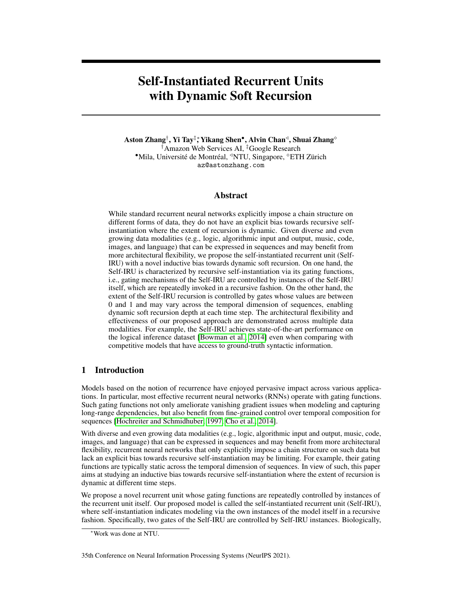#### <span id="page-7-0"></span>3.7 Analysis of Soft Depth Gates

Besides the task-specific maximum recursion depth and base transformations, empirical effectiveness of Self-IRUs may also be explained by the modeling flexibility via the inductive bias towards dynamic soft recursion (Section [2.2\)](#page-2-6). We will analyze in two aspects below.

<span id="page-7-1"></span>

Figure 3: Soft depth gate values at initialization and training epoch 10 on the CIFAR-10 and MNIST datasets.

First, during training, the Self-IRU has the flexibility of building datadependent recursive patterns of selfinstantiation. Figure [3](#page-7-1) displays values of all the soft depth gates at all the three recursion depths on the CIFAR-10 and MNIST datasets, depicting how the recursive pattern of the Self-IRU is updated during training. For different datasets, the Self-IRU also flexibly learns to construct different soft recursive (via soft depth gates of values between 0 and 1) patterns.

Second, we want to find out whether the Self-IRU has the flexibility of softly learning the recursion depth on a pertime-step basis via the inductive bias towards dynamic soft recursion. Figure [4](#page-7-2) visualizes such patterns (i) for pixelwise sequential image classification on the CIFAR-10 and MNIST datasets and (ii) for music modeling on the Nottingham dataset. Notably, all the datasets have very diverse temporal compositions of recursive patterns. More concretely, the soft depth gate values fluctuate aggressively on the CIFAR-10 dataset (consisting of color images) in Figure [4a](#page-7-2) while remaining more stable for music modeling in Figure [4c.](#page-7-2) Moreover, these soft depth gate values remain totally constant on the MNIST dataset (consisting of much simpler grayscale images) in Figure [4b.](#page-7-2) These provide compelling empirical evidence for the architectural flexibility of Self-IRUs: they can adjust the dynamic construction adaptively and can even revert to static recursion over time if necessary (such as for simpler tasks).

<span id="page-7-2"></span>

(c) Music modeling (Nottingham)

Figure 4: Soft depth gate values across the temporal dimension. "L" and "R" denote  $\begin{pmatrix} n \\ t \end{pmatrix}$  and  $\begin{pmatrix} n \\ t \end{pmatrix}$ , respectively (e.g., "LLR" denotes the node at the end of the unrolled recursive path  $\begin{pmatrix} n \\ t \end{pmatrix}$  !  $\begin{pmatrix} n \\ t \end{pmatrix}$  !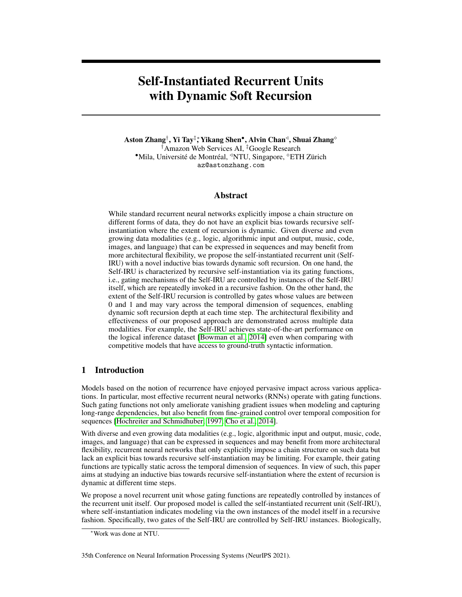The dynamic soft recursion pattern is made more intriguing by observing how the "softness" alters on the CIFAR-10 and Nottingham datasets. From Figure [4c](#page-7-2) we observe that the soft recursion pattern of the model changes in a rhythmic fashion, in line with our intuition of musical data. When dealing with pixel information, the recursive pattern in Figure [4a](#page-7-2) changes adaptively according to the more complex color-image information. Though these empirical results are intuitive, a better understanding of such behaviors may benefit from theoretical or biological perspectives in the future.

# 4 Related Work

The study of effective inductive biases for sequential representation learning has been a prosperous research direction. This has spurred on research across multiple fronts, starting from gated recurrent models [\[Hochreiter and Schmidhuber, 1997,](#page-10-0) [Cho et al., 2014\]](#page-9-1), convolution [\[Kim, 2014\]](#page-10-10), to selfattention-based models [\[Vaswani et al., 2017\]](#page-11-12).

The intrinsic hierarchical structure native to many forms of sequences has long fascinated and inspired researchers [\[Socher et al., 2013,](#page-11-1) [Bowman et al., 2014,](#page-9-0) [2016,](#page-9-11) [Dyer et al., 2016\]](#page-9-3). Nested LSTMs use hierarchical memories [\[Moniz and Krueger, 2017\]](#page-10-11). The study of recursive networks, popularized by [Socher et al.](#page-11-1) [\[2013\]](#page-11-1), has provided a foundation for learning syntax-guided composition. Along the same vein, [Tai et al.](#page-11-0) [\[2015\]](#page-11-0) proposed Tree-LSTMs that guide LSTM composition with grammar. Recent attempts have been made to learn this process without guidance or syntax-based supervision [\[Yogatama et al., 2016,](#page-11-4) [Shen et al., 2017,](#page-11-3) [Choi et al., 2018,](#page-9-4) [Havrylov et al., 2019,](#page-10-2) [Kim](#page-10-12) [et al., 2019\]](#page-10-12). Specifically, ordered-neuron LSTMs [\[Shen et al., 2018\]](#page-11-7) propose structured gating mechanisms, imbuing the recurrent unit with a tree-structured inductive bias. Besides, [Tran et al.](#page-11-13) [\[2018\]](#page-11-13) showed that recurrence is important for modeling hierarchical structure. Notably, learning hierarchical representations across multiple time-scales [\[El Hihi and Bengio, 1996,](#page-9-12) [Schmidhuber,](#page-10-13) [1992,](#page-10-13) [Koutnik et al., 2014,](#page-10-14) [Chung et al., 2016,](#page-9-13) [Hafner et al., 2017\]](#page-9-14) has also demonstrated effectiveness.

Learning an abstraction and controller over a base recurrent unit is also another compelling direction. First proposed in fast weights by [Schmidhuber](#page-10-13) [\[1992\]](#page-10-13), several recent works explored this notion. HyperNetworks [\[Ha et al., 2016\]](#page-9-15) learn to generate weights for another recurrent unit, i.e., a form of relaxed weight sharing. On the other hand, RCRN [\[Tay et al., 2018\]](#page-11-14) explicitly parameterizes the gates of an RNN unit with other RNN units. Recent studies on the recurrent unit are also reminiscent of this particular notion [\[Bradbury et al., 2016,](#page-9-16) [Lei et al., 2018\]](#page-10-15).

The fusion of recursive and recurrent architectures is also notable. This direction is probably the closest relevance to our proposed method, although with vast differences. [Liu et al.](#page-10-16) [\[2014\]](#page-10-16) proposed recursive recurrent networks for machine translation that are concerned with the more traditional syntactic supervision concept of vanilla recursive networks. [Jacob et al.](#page-10-5) [\[2018\]](#page-10-5) proposed the RRNet, which learns hierarchical structures on the fly. The RRNet proposes to learn to split or merge nodes at each time step, which makes it reminiscent of other works [\[Choi et al., 2018,](#page-9-4) [Shen et al., 2018\]](#page-11-7). [Lee](#page-10-17) [and Osindero](#page-10-17) [\[2016\]](#page-10-17) and [Aydin and Güngör](#page-9-17) [\[2020\]](#page-9-17) proposed to feed recursive neural network output into recurrent models. [Alvarez-Melis and Jaakkola](#page-9-18) [\[2016\]](#page-9-18) proposed doubly recurrent decoders for tree-structured decoding. The core of their method is a depth and breath-wise recurrence which is similar to our model. However, our Self-IRU is concerned with learning recursive self-instantiation, which is in sharp contrast to their objective of decoding trees.

Last, our work combines the idea of external meta-controllers [\[Schmidhuber, 1992,](#page-10-13) [Ha et al., 2016,](#page-9-15) [Tay et al., 2018\]](#page-11-14) with recursive architectures. Specifically, our recursive parameterization is also a form of dynamic memory that offers improved expressiveness in similar spirit to memory-augmented recurrent models [\[Santoro et al., 2018,](#page-10-18) [Graves et al., 2014,](#page-9-19) [Tran et al., 2016\]](#page-11-15).

# 5 Summary and Discussions

We proposed the Self-IRU that is characterized by recursive instantiation of the model itself, where the extent of the recursion may vary temporally. The experiments across multiple modalities demonstrated the architectural flexibility and effectiveness of the Self-IRU. While there is a risk of abusing the Self-IRU such as for generating fake contents, we believe that our model is overall beneficial through effective understanding of our digitalized world across diverse modalities.

Acknowledgements. We thank the anonymous reviewers for the insightful comments on this paper.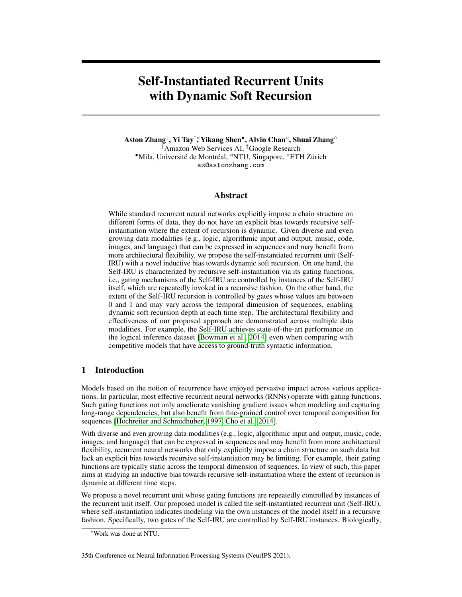# References

- <span id="page-9-18"></span>David Alvarez-Melis and Tommi S Jaakkola. Tree-structured decoding with doubly-recurrent neural networks. 2016.
- <span id="page-9-17"></span>Cem Rifki Aydin and Tunga Güngör. Combination of recursive and recurrent neural networks for aspect-based sentiment analysis using inter-aspect relations. *IEEE Access*, 8:77820–77832, 2020.
- <span id="page-9-6"></span>Dzmitry Bahdanau, Kyunghyun Cho, and Yoshua Bengio. Neural machine translation by jointly learning to align and translate. *arXiv preprint arXiv:1409.0473*, 2014.
- <span id="page-9-9"></span>Shaojie Bai, J Zico Kolter, and Vladlen Koltun. An empirical evaluation of generic convolutional and recurrent networks for sequence modeling. *arXiv preprint arXiv:1803.01271*, 2018a.
- <span id="page-9-5"></span>Shaojie Bai, J Zico Kolter, and Vladlen Koltun. Trellis networks for sequence modeling. *arXiv preprint arXiv:1810.06682*, 2018b.
- <span id="page-9-7"></span>Nicolas Boulanger-Lewandowski, Yoshua Bengio, and Pascal Vincent. Modeling temporal dependencies in high-dimensional sequences: Application to polyphonic music generation and transcription. *arXiv preprint arXiv:1206.6392*, 2012.
- <span id="page-9-0"></span>Samuel R Bowman, Christopher Potts, and Christopher D Manning. Recursive neural networks can learn logical semantics. *arXiv preprint arXiv:1406.1827*, 2014.
- <span id="page-9-11"></span>Samuel R Bowman, Jon Gauthier, Abhinav Rastogi, Raghav Gupta, Christopher D Manning, and Christopher Potts. A fast unified model for parsing and sentence understanding. *arXiv preprint arXiv:1603.06021*, 2016.
- <span id="page-9-16"></span>James Bradbury, Stephen Merity, Caiming Xiong, and Richard Socher. Quasi-recurrent neural networks. *arXiv preprint arXiv:1611.01576*, 2016.
- <span id="page-9-1"></span>Kyunghyun Cho, Bart Van Merriënboer, Caglar Gulcehre, Dzmitry Bahdanau, Fethi Bougares, Holger Schwenk, and Yoshua Bengio. Learning phrase representations using rnn encoder-decoder for statistical machine translation. *arXiv preprint arXiv:1406.1078*, 2014.
- <span id="page-9-4"></span>Jihun Choi, Kang Min Yoo, and Sang-goo Lee. Learning to compose task-specific tree structures. In *Thirty-Second AAAI Conference on Artificial Intelligence*, 2018.
- <span id="page-9-8"></span>Junyoung Chung, Caglar Gulcehre, KyungHyun Cho, and Yoshua Bengio. Empirical evaluation of gated recurrent neural networks on sequence modeling. *arXiv preprint arXiv:1412.3555*, 2014.
- <span id="page-9-13"></span>Junyoung Chung, Sungjin Ahn, and Yoshua Bengio. Hierarchical multiscale recurrent neural networks. *arXiv preprint arXiv:1609.01704*, 2016.
- <span id="page-9-10"></span>Li Dong and Mirella Lapata. Language to logical form with neural attention. *arXiv preprint arXiv:1601.01280*, 2016.
- <span id="page-9-3"></span>Chris Dyer, Adhiguna Kuncoro, Miguel Ballesteros, and Noah A Smith. Recurrent neural network grammars. *arXiv preprint arXiv:1602.07776*, 2016.
- <span id="page-9-12"></span>Salah El Hihi and Yoshua Bengio. Hierarchical recurrent neural networks for long-term dependencies. In *Advances in neural information processing systems*, pages 493–499, 1996.
- <span id="page-9-2"></span>Alex Graves. Adaptive computation time for recurrent neural networks. *arXiv preprint arXiv:1603.08983*, 2016.
- <span id="page-9-19"></span>Alex Graves, Greg Wayne, and Ivo Danihelka. Neural turing machines. *arXiv preprint arXiv:1410.5401*, 2014.

<span id="page-9-15"></span>David Ha, Andrew Dai, and Quoc V Le. Hypernetworks. *arXiv preprint arXiv:1609.09106*, 2016.

<span id="page-9-14"></span>Danijar Hafner, Alexander Irpan, James Davidson, and Nicolas Heess. Learning hierarchical information flow with recurrent neural modules. In *Advances in Neural Information Processing Systems*, pages 6724–6733, 2017.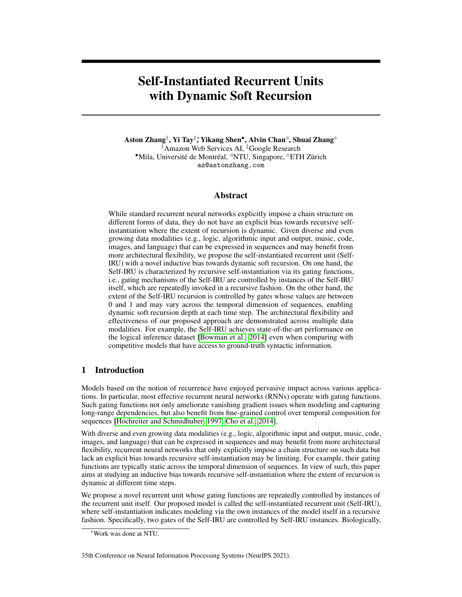- <span id="page-10-2"></span>Serhii Havrylov, Germán Kruszewski, and Armand Joulin. Cooperative learning of disjoint syntax and semantics. *arXiv preprint arXiv:1902.09393*, 2019.
- <span id="page-10-3"></span>Kaiming He, Xiangyu Zhang, Shaoqing Ren, and Jian Sun. Deep residual learning for image recognition. In *Proceedings of the IEEE conference on computer vision and pattern recognition*, pages 770–778, 2016.
- <span id="page-10-0"></span>Sepp Hochreiter and Jürgen Schmidhuber. Long short-term memory. *Neural computation*, 9(8): 1735–1780, 1997.
- <span id="page-10-5"></span>Athul Paul Jacob, Zhouhan Lin, Alessandro Sordoni, and Yoshua Bengio. Learning hierarchical structures on-the-fly with a recurrent-recursive model for sequences. In *Proceedings of The Third Workshop on Representation Learning for NLP*, pages 154–158, 2018.
- <span id="page-10-10"></span>Yoon Kim. Convolutional neural networks for sentence classification, 2014.
- <span id="page-10-12"></span>Yoon Kim, Chris Dyer, and Alexander M Rush. Compound probabilistic context-free grammars for grammar induction. *arXiv preprint arXiv:1906.10225*, 2019.
- <span id="page-10-14"></span>Jan Koutnik, Klaus Greff, Faustino Gomez, and Juergen Schmidhuber. A clockwork rnn. *arXiv preprint arXiv:1402.3511*, 2014.
- <span id="page-10-1"></span>Trenton Kriete, David C Noelle, Jonathan D Cohen, and Randall C O'Reilly. Indirection and symbollike processing in the prefrontal cortex and basal ganglia. *Proceedings of the National Academy of Sciences*, 110(41):16390–16395, 2013.
- <span id="page-10-17"></span>Chen-Yu Lee and Simon Osindero. Recursive recurrent nets with attention modeling for ocr in the wild. In *Proceedings of the IEEE Conference on Computer Vision and Pattern Recognition*, pages 2231–2239, 2016.
- <span id="page-10-15"></span>Tao Lei, Yu Zhang, Sida I Wang, Hui Dai, and Yoav Artzi. Simple recurrent units for highly parallelizable recurrence. In *Proceedings of the 2018 Conference on Empirical Methods in Natural Language Processing*, pages 4470–4481, 2018.
- <span id="page-10-4"></span>Shuai Li, Wanqing Li, Chris Cook, Ce Zhu, and Yanbo Gao. Independently recurrent neural network (indrnn): Building a longer and deeper rnn. In *Proceedings of the IEEE Conference on Computer Vision and Pattern Recognition*, pages 5457–5466, 2018a.
- <span id="page-10-6"></span>Zhuohan Li, Di He, Fei Tian, Wei Chen, Tao Qin, Liwei Wang, and Tie-Yan Liu. Towards binaryvalued gates for robust lstm training. *arXiv preprint arXiv:1806.02988*, 2018b.
- <span id="page-10-7"></span>Wang Ling, Edward Grefenstette, Karl Moritz Hermann, Tomáš Kočiskỳ, Andrew Senior, Fumin Wang, and Phil Blunsom. Latent predictor networks for code generation. *arXiv preprint arXiv:1603.06744*, 2016.
- <span id="page-10-16"></span>Shujie Liu, Nan Yang, Mu Li, and Ming Zhou. A recursive recurrent neural network for statistical machine translation. In *Proceedings of the 52nd Annual Meeting of the Association for Computational Linguistics (Volume 1: Long Papers)*, pages 1491–1500, 2014.
- <span id="page-10-11"></span>Joel Ruben Antony Moniz and David Krueger. Nested lstms. In *Asian Conference on Machine Learning*, pages 530–544. PMLR, 2017.
- <span id="page-10-8"></span>Graham Neubig. lamtram: A toolkit for language and translation modeling using neural networks, 2015.
- <span id="page-10-9"></span>Maxim Rabinovich, Mitchell Stern, and Dan Klein. Abstract syntax networks for code generation and semantic parsing. *arXiv preprint arXiv:1704.07535*, 2017.
- <span id="page-10-18"></span>Adam Santoro, Ryan Faulkner, David Raposo, Jack Rae, Mike Chrzanowski, Theophane Weber, Daan Wierstra, Oriol Vinyals, Razvan Pascanu, and Timothy Lillicrap. Relational recurrent neural networks. In *Advances in Neural Information Processing Systems*, pages 7299–7310, 2018.
- <span id="page-10-13"></span>Jürgen Schmidhuber. Learning complex, extended sequences using the principle of history compression. *Neural Computation*, 4(2):234–242, 1992.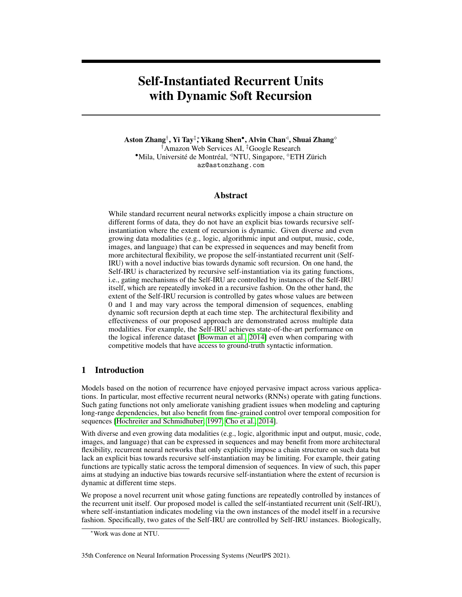- <span id="page-11-3"></span>Yikang Shen, Zhouhan Lin, Chin-Wei Huang, and Aaron Courville. Neural language modeling by jointly learning syntax and lexicon. *arXiv preprint arXiv:1711.02013*, 2017.
- <span id="page-11-7"></span>Yikang Shen, Shawn Tan, Alessandro Sordoni, and Aaron Courville. Ordered neurons: Integrating tree structures into recurrent neural networks. *arXiv preprint arXiv:1810.09536*, 2018.
- <span id="page-11-1"></span>Richard Socher, Alex Perelygin, Jean Wu, Jason Chuang, Christopher D Manning, Andrew Ng, and Christopher Potts. Recursive deep models for semantic compositionality over a sentiment treebank. In *Proceedings of the 2013 conference on empirical methods in natural language processing*, pages 1631–1642, 2013.
- <span id="page-11-9"></span>Kyungwoo Song, JoonHo Jang, Il-Chul Moon, et al. Bivariate beta lstm. *arXiv preprint arXiv:1905.10521*, 2019.
- <span id="page-11-17"></span>Rupesh Kumar Srivastava, Klaus Greff, and Jürgen Schmidhuber. Highway networks. *arXiv preprint arXiv:1505.00387*, 2015.
- <span id="page-11-8"></span>Ilya Sutskever, Oriol Vinyals, and Quoc V Le. Sequence to sequence learning with neural networks. In *Advances in neural information processing systems*, pages 3104–3112, 2014.
- <span id="page-11-0"></span>Kai Sheng Tai, Richard Socher, and Christopher D Manning. Improved semantic representations from tree-structured long short-term memory networks. *arXiv preprint arXiv:1503.00075*, 2015.
- <span id="page-11-14"></span>Yi Tay, Anh Tuan Luu, and Siu Cheung Hui. Recurrently controlled recurrent networks. In *Advances in Neural Information Processing Systems*, pages 4731–4743, 2018.
- <span id="page-11-15"></span>Ke Tran, Arianna Bisazza, and Christof Monz. Recurrent memory networks for language modeling. *arXiv preprint arXiv:1601.01272*, 2016.
- <span id="page-11-13"></span>Ke Tran, Arianna Bisazza, and Christof Monz. The importance of being recurrent for modeling hierarchical structure. *arXiv preprint arXiv:1803.03585*, 2018.
- <span id="page-11-6"></span>Trieu H Trinh, Andrew M Dai, Minh-Thang Luong, and Quoc V Le. Learning longer-term dependencies in rnns with auxiliary losses. *arXiv preprint arXiv:1803.00144*, 2018.
- <span id="page-11-12"></span>Ashish Vaswani, Noam Shazeer, Niki Parmar, Jakob Uszkoreit, Llion Jones, Aidan N Gomez, Łukasz Kaiser, and Illia Polosukhin. Attention is all you need. In *Advances in neural information processing systems*, pages 5998–6008, 2017.
- <span id="page-11-16"></span>Ashish Vaswani, Samy Bengio, Eugene Brevdo, Francois Chollet, Aidan N. Gomez, Stephan Gouws, Llion Jones, Łukasz Kaiser, Nal Kalchbrenner, Niki Parmar, Ryan Sepassi, Noam Shazeer, and Jakob Uszkoreit. Tensor2tensor for neural machine translation. *CoRR*, abs/1803.07416, 2018. URL <http://arxiv.org/abs/1803.07416>.
- <span id="page-11-2"></span>Wenya Wang and Sinno Jialin Pan. Syntactically meaningful and transferable recursive neural networks for aspect and opinion extraction. *Computational Linguistics*, 45(4):705–736, 2020.
- <span id="page-11-11"></span>Pengcheng Yin and Graham Neubig. A syntactic neural model for general-purpose code generation. *arXiv preprint arXiv:1704.01696*, 2017.
- <span id="page-11-10"></span>Pengcheng Yin and Graham Neubig. Tranx: A transition-based neural abstract syntax parser for semantic parsing and code generation. *arXiv preprint arXiv:1810.02720*, 2018.
- <span id="page-11-4"></span>Dani Yogatama, Phil Blunsom, Chris Dyer, Edward Grefenstette, and Wang Ling. Learning to compose words into sentences with reinforcement learning. *arXiv preprint arXiv:1611.09100*, 2016.
- <span id="page-11-5"></span>Aston Zhang, Zachary C Lipton, Mu Li, and Alexander J Smola. Dive into deep learning. *arXiv preprint arXiv:2106.11342*, 2021.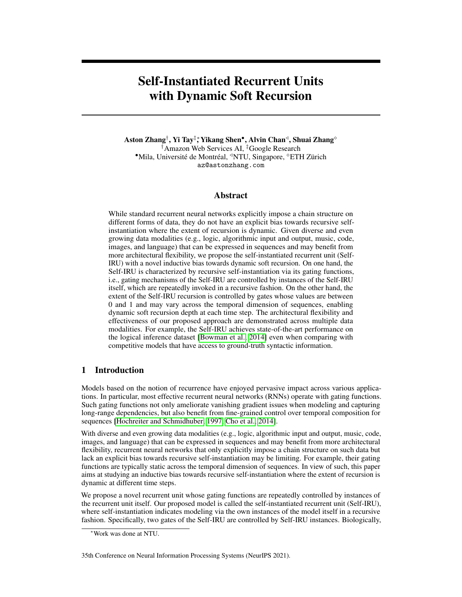# A Appendix

## <span id="page-12-0"></span>A.1 Non-Autoregressive Variant

We postulate that the Self-IRU can also be useful as a (parallel) non-autoregressive model. This can be interpreted as a form of recursive feed-forward layers that is used in place of the recurrent and autoregressive Self-IRU.

By dispensing with the reliance on the hidden states of the previous time steps and the memory cells, the non-autoregressive variant of the Self-IRU is redefined as

$$
\mathbf{f}_t^{(l)} = \begin{cases} \n\text{sn} & \text{self-IRU}^{(l-1)}(\mathbf{x}_t) + (1 - \frac{\text{sn}}{t}) F_f^{(l)}(\mathbf{x}_t) \\
\mathbf{o}_t^{(l)} = \n\end{cases}
$$
\n
$$
\mathbf{r}_t^{(l)} = \tanh F_z^{(l)}(\mathbf{x}_t) \\
\mathbf{r}_t^{(l)} = \tanh F_z^{(l)}(\mathbf{x}_t) \\
\mathbf{r}_t^{(l)} = \mathbf{f}_t^{(l)} \quad \mathbf{x}_t + \mathbf{o}_t^{(l)} \quad \mathbf{z}_t^{(l)} \\
\mathbf{h}_t^{(l)} = \mathbf{R}_t^{(l)} + \mathbf{x}_t.
$$

As we will show in the experiments, this non-autoregressive Self-IRU variant can be used in place of position-wise feed-forward layers in the Transformer architecture [\[Vaswani et al., 2017\]](#page-11-12). In this case, base transformations  $F_*^{(l)}$  for  $2 \text{ ff}$ ; o; zg are position-wise functions as well.

## A.2 Experiments on Neural Machine Translation

To evaluate whether the non-autoregressive variant of the Self-IRU can boost the performance of Transformers, we conduct neural machine translation experiments on two IWSLT datasets that are collections derived from TED talks. Specifically, we compare on the IWSLT 2014 German-English (De-En) and IWSLT 2015 English-Vietnamese (En-Vi) datasets.

We replace the multi-head aggregation layer in the Transformer [\[Vaswani et al., 2017\]](#page-11-12) with the non-autoregressive variant of the Self-IRU as described in Section [A.1,](#page-12-0) setting base transformations with linear layers and the maximum recursion depth as 2. For our experiments, we use the standard implementation and hyperparameters in Tensor2Tensor<sup>[4](#page-12-1)</sup> [\[Vaswani et al., 2018\]](#page-11-16) with the base setting for Transformers. For evaluation, model averaging is used (latest 5 checkpoints) and the beam search with beam size 8 (De-En) and 4 (En-Vi) and length penalty of 0.6 is adopted for decoding.

<span id="page-12-2"></span>Table 8: Experimental results (BLEU) on the IWSLT 2014 De-En and IWSLT 2015 En-Vi neural machine translation tasks.

| Model                              | IWSLT 2014 De-En   IWSLT 2015 En-Vi |       |
|------------------------------------|-------------------------------------|-------|
| Transformer [Vaswani et al., 2017] | 36.30                               | 28.43 |
| Transformer + Self-IRU             | 37.09                               | 30.81 |

Table [8](#page-12-2) reports results on the two neural machine translation tasks. On the IWSLT 2014 De-En and IWSLT 2015 En-Vi datasets, the non-autoregressive Self-IRU variant boosts the performance of the Transformer by +0:79 and +2:38 BLEU, respectively.

## A.3 Connections to Other Recurrent Models

Self-IRUs can be considered as a broader framework. Here we briefly discuss how Self-IRUs connect to some other recurrent models.

For example, according to the base case of the self-instantiation gates, when setting the maximum recursive depth  $L = 0$ , the Self-IRU can be reverted to a simple recurrent unit (SRU) [\[Lei et al.,](#page-10-15)

<span id="page-12-1"></span><sup>4</sup> <https://github.com/tensorflow/tensor2tensor>